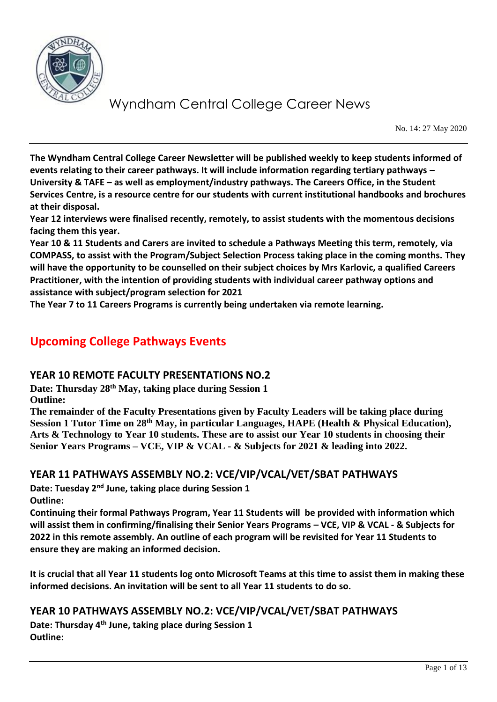

No. 14: 27 May 2020

**The Wyndham Central College Career Newsletter will be published weekly to keep students informed of events relating to their career pathways. It will include information regarding tertiary pathways – University & TAFE – as well as employment/industry pathways. The Careers Office, in the Student Services Centre, is a resource centre for our students with current institutional handbooks and brochures at their disposal.** 

**Year 12 interviews were finalised recently, remotely, to assist students with the momentous decisions facing them this year.** 

**Year 10 & 11 Students and Carers are invited to schedule a Pathways Meeting this term, remotely, via COMPASS, to assist with the Program/Subject Selection Process taking place in the coming months. They will have the opportunity to be counselled on their subject choices by Mrs Karlovic, a qualified Careers Practitioner, with the intention of providing students with individual career pathway options and assistance with subject/program selection for 2021**

**The Year 7 to 11 Careers Programs is currently being undertaken via remote learning.**

### **Upcoming College Pathways Events**

#### **YEAR 10 REMOTE FACULTY PRESENTATIONS NO.2**

**Date: Thursday 28th May, taking place during Session 1 Outline:**

**The remainder of the Faculty Presentations given by Faculty Leaders will be taking place during Session 1 Tutor Time on 28th May, in particular Languages, HAPE (Health & Physical Education), Arts & Technology to Year 10 students. These are to assist our Year 10 students in choosing their Senior Years Programs – VCE, VIP & VCAL - & Subjects for 2021 & leading into 2022.**

#### **YEAR 11 PATHWAYS ASSEMBLY NO.2: VCE/VIP/VCAL/VET/SBAT PATHWAYS**

**Date: Tuesday 2nd June, taking place during Session 1 Outline:**

**Continuing their formal Pathways Program, Year 11 Students will be provided with information which will assist them in confirming/finalising their Senior Years Programs – VCE, VIP & VCAL - & Subjects for 2022 in this remote assembly. An outline of each program will be revisited for Year 11 Students to ensure they are making an informed decision.**

**It is crucial that all Year 11 students log onto Microsoft Teams at this time to assist them in making these informed decisions. An invitation will be sent to all Year 11 students to do so.**

#### **YEAR 10 PATHWAYS ASSEMBLY NO.2: VCE/VIP/VCAL/VET/SBAT PATHWAYS**

**Date: Thursday 4th June, taking place during Session 1 Outline:**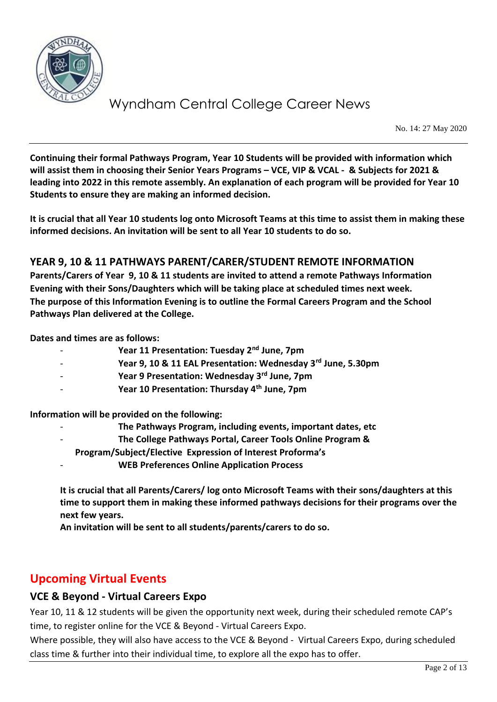

No. 14: 27 May 2020

**Continuing their formal Pathways Program, Year 10 Students will be provided with information which will assist them in choosing their Senior Years Programs – VCE, VIP & VCAL - & Subjects for 2021 & leading into 2022 in this remote assembly. An explanation of each program will be provided for Year 10 Students to ensure they are making an informed decision.**

**It is crucial that all Year 10 students log onto Microsoft Teams at this time to assist them in making these informed decisions. An invitation will be sent to all Year 10 students to do so.**

#### **YEAR 9, 10 & 11 PATHWAYS PARENT/CARER/STUDENT REMOTE INFORMATION**

**Parents/Carers of Year 9, 10 & 11 students are invited to attend a remote Pathways Information Evening with their Sons/Daughters which will be taking place at scheduled times next week. The purpose of this Information Evening is to outline the Formal Careers Program and the School Pathways Plan delivered at the College.**

**Dates and times are as follows:**

- **Year 11 Presentation: Tuesday 2nd June, 7pm**
- **Year 9, 10 & 11 EAL Presentation: Wednesday 3rd June, 5.30pm**
- **Year 9 Presentation: Wednesday 3rd June, 7pm**
- **Year 10 Presentation: Thursday 4th June, 7pm**

**Information will be provided on the following:**

- **The Pathways Program, including events, important dates, etc**
- **The College Pathways Portal, Career Tools Online Program &**
- **Program/Subject/Elective Expression of Interest Proforma's**
- **WEB Preferences Online Application Process**

**It is crucial that all Parents/Carers/ log onto Microsoft Teams with their sons/daughters at this time to support them in making these informed pathways decisions for their programs over the next few years.** 

**An invitation will be sent to all students/parents/carers to do so.**

### **Upcoming Virtual Events**

#### **VCE & Beyond - Virtual Careers Expo**

Year 10, 11 & 12 students will be given the opportunity next week, during their scheduled remote CAP's time, to register online for the VCE & Beyond - Virtual Careers Expo.

Where possible, they will also have access to the VCE & Beyond - Virtual Careers Expo, during scheduled class time & further into their individual time, to explore all the expo has to offer.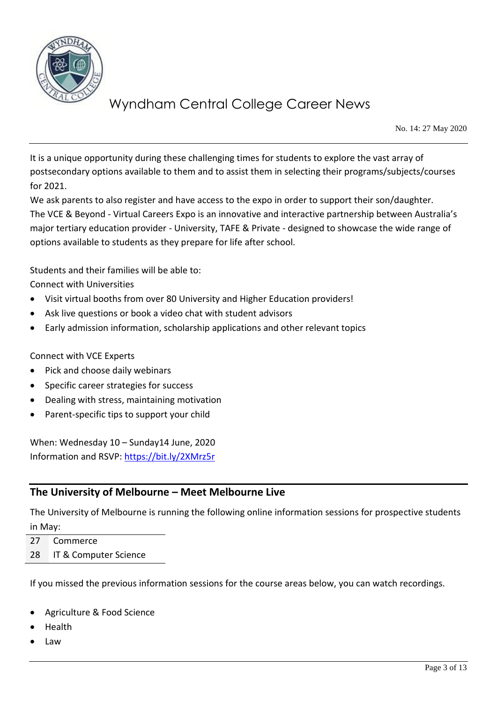

No. 14: 27 May 2020

It is a unique opportunity during these challenging times for students to explore the vast array of postsecondary options available to them and to assist them in selecting their programs/subjects/courses for 2021.

We ask parents to also register and have access to the expo in order to support their son/daughter. The VCE & Beyond - Virtual Careers Expo is an innovative and interactive partnership between Australia's major tertiary education provider - University, TAFE & Private - designed to showcase the wide range of options available to students as they prepare for life after school.

Students and their families will be able to:

Connect with Universities

- Visit virtual booths from over 80 University and Higher Education providers!
- Ask live questions or book a video chat with student advisors
- Early admission information, scholarship applications and other relevant topics

Connect with VCE Experts

- Pick and choose daily webinars
- Specific career strategies for success
- Dealing with stress, maintaining motivation
- Parent-specific tips to support your child

When: Wednesday 10 – Sunday14 June, 2020 Information and RSVP:<https://bit.ly/2XMrz5r>

#### **The University of Melbourne – Meet Melbourne Live**

The University of Melbourne is running the following online information sessions for prospective students in May:

27 Commerce

28 IT & Computer Science

If you missed the previous information sessions for the course areas below, you can watch recordings.

- Agriculture & Food Science
- Health
- Law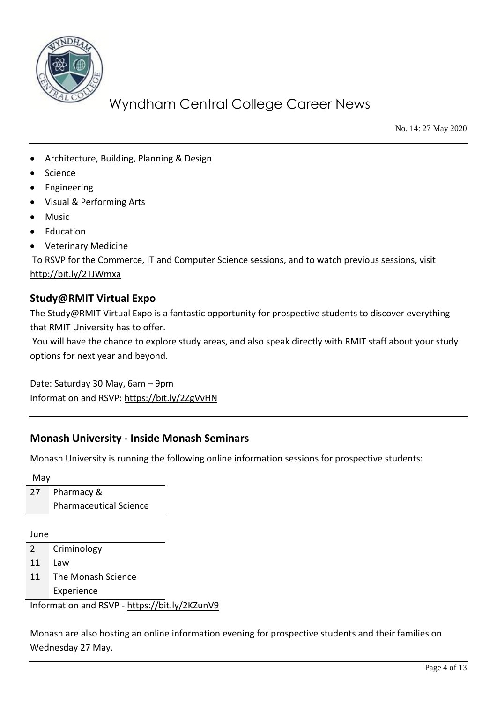

No. 14: 27 May 2020

- Architecture, Building, Planning & Design
- **Science**
- **Engineering**
- Visual & Performing Arts
- Music
- Education
- Veterinary Medicine

To RSVP for the Commerce, IT and Computer Science sessions, and to watch previous sessions, visit <http://bit.ly/2TJWmxa>

#### **Study@RMIT Virtual Expo**

The Study@RMIT Virtual Expo is a fantastic opportunity for prospective students to discover everything that RMIT University has to offer.

You will have the chance to explore study areas, and also speak directly with RMIT staff about your study options for next year and beyond.

Date: Saturday 30 May, 6am – 9pm Information and RSVP:<https://bit.ly/2ZgVvHN>

#### **Monash University - Inside Monash Seminars**

Monash University is running the following online information sessions for prospective students:

May

27 Pharmacy & Pharmaceutical Science

June

2 Criminology

11 Law

11 The Monash Science Experience

Information and RSVP - <https://bit.ly/2KZunV9>

Monash are also hosting an online information evening for prospective students and their families on Wednesday 27 May.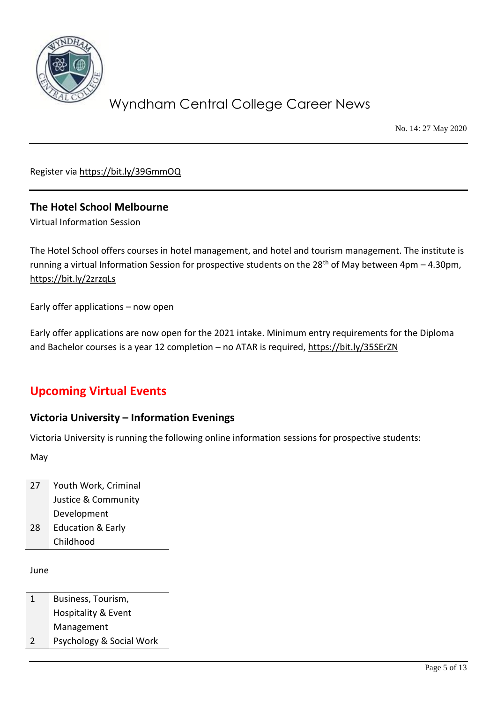

No. 14: 27 May 2020

Register via<https://bit.ly/39GmmOQ>

#### **The Hotel School Melbourne**

Virtual Information Session

The Hotel School offers courses in hotel management, and hotel and tourism management. The institute is running a virtual Information Session for prospective students on the  $28<sup>th</sup>$  of May between 4pm – 4.30pm, <https://bit.ly/2zrzqLs>

Early offer applications – now open

Early offer applications are now open for the 2021 intake. Minimum entry requirements for the Diploma and Bachelor courses is a year 12 completion – no ATAR is required,<https://bit.ly/35SErZN>

### **Upcoming Virtual Events**

#### **Victoria University – Information Evenings**

Victoria University is running the following online information sessions for prospective students:

May

27 Youth Work, Criminal Justice & Community Development 28 Education & Early Childhood

June

- 1 Business, Tourism, Hospitality & Event Management
- 2 Psychology & Social Work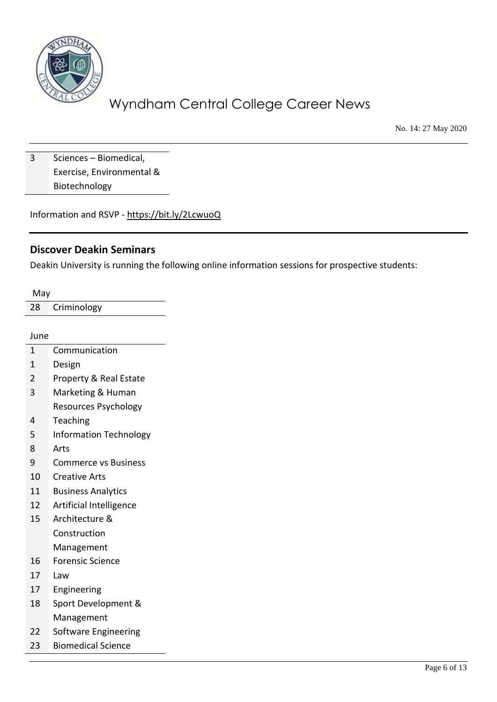

No. 14: 27 May 2020

3 Sciences – Biomedical, Exercise, Environmental & Biotechnology

Information and RSVP - <https://bit.ly/2LcwuoQ>

#### **Discover Deakin Seminars**

Deakin University is running the following online information sessions for prospective students:

| May                           |
|-------------------------------|
| Criminology                   |
|                               |
| June                          |
| Communication                 |
| Design                        |
| Property & Real Estate        |
| Marketing & Human             |
| Resources Psychology          |
| Teaching                      |
| <b>Information Technology</b> |
| Arts                          |
| <b>Commerce vs Business</b>   |
| <b>Creative Arts</b>          |
| <b>Business Analytics</b>     |
| Artificial Intelligence       |
| Architecture &                |
| Construction                  |
| Management                    |
| <b>Forensic Science</b>       |
| Law                           |
| Engineering                   |
| Sport Development &           |
| Management                    |
| Software Engineering          |
| <b>Biomedical Science</b>     |
|                               |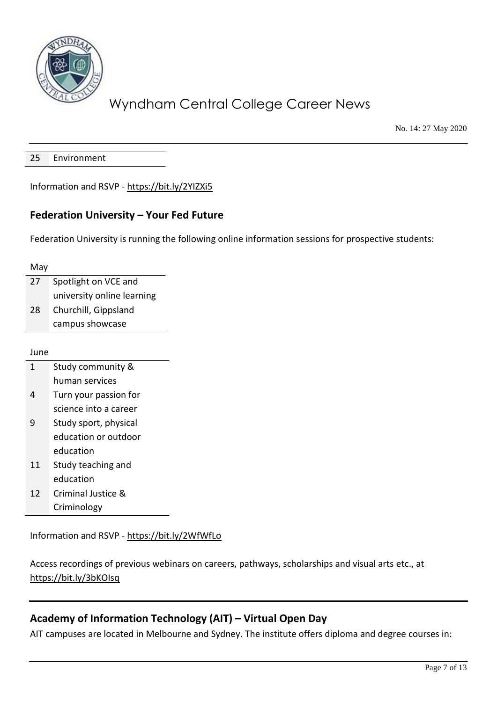

No. 14: 27 May 2020

25 Environment

Information and RSVP - <https://bit.ly/2YIZXi5>

#### **Federation University – Your Fed Future**

Federation University is running the following online information sessions for prospective students:

May

| 27 | Spotlight on VCE and       |
|----|----------------------------|
|    | university online learning |
| 28 | Churchill, Gippsland       |
|    | campus showcase            |

June

| $\mathbf{1}$ | Study community & |
|--------------|-------------------|
|              | human services    |

- 4 Turn your passion for science into a career
- 9 Study sport, physical education or outdoor education
- 11 Study teaching and education
- 12 Criminal Justice & Criminology

Information and RSVP - <https://bit.ly/2WfWfLo>

Access recordings of previous webinars on careers, pathways, scholarships and visual arts etc., at <https://bit.ly/3bKOIsq>

#### **Academy of Information Technology (AIT) – Virtual Open Day**

AIT campuses are located in Melbourne and Sydney. The institute offers diploma and degree courses in: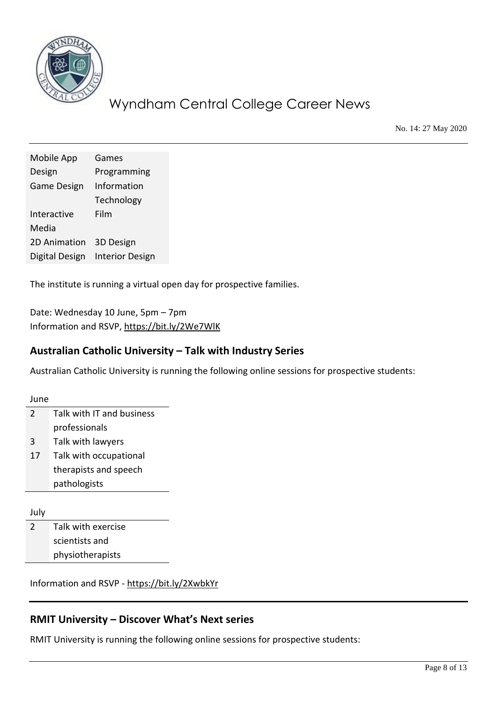

No. 14: 27 May 2020

| Mobile App         | Games                  |
|--------------------|------------------------|
| Design             | Programming            |
| <b>Game Design</b> | Information            |
|                    | Technology             |
| Interactive        | Film                   |
| Media              |                        |
| 2D Animation       | 3D Design              |
| Digital Design     | <b>Interior Design</b> |

The institute is running a virtual open day for prospective families.

Date: Wednesday 10 June, 5pm – 7pm Information and RSVP,<https://bit.ly/2We7WlK>

#### **Australian Catholic University – Talk with Industry Series**

Australian Catholic University is running the following online sessions for prospective students:

June 2 Talk with IT and business professionals 3 Talk with lawyers 17 Talk with occupational therapists and speech pathologists

July

2 Talk with exercise scientists and physiotherapists

Information and RSVP - <https://bit.ly/2XwbkYr>

### **RMIT University – Discover What's Next series**

RMIT University is running the following online sessions for prospective students: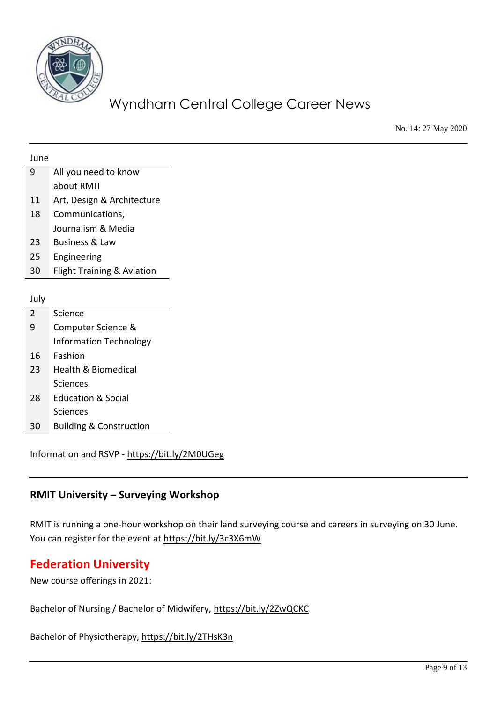

No. 14: 27 May 2020

| June           |                                    |
|----------------|------------------------------------|
| 9              | All you need to know               |
|                | about RMIT                         |
| 11             | Art, Design & Architecture         |
| 18             | Communications,                    |
|                | Journalism & Media                 |
| 23             | <b>Business &amp; Law</b>          |
| 25             | Engineering                        |
| 30             | Flight Training & Aviation         |
|                |                                    |
| July           |                                    |
| $\overline{2}$ | Science                            |
| 9              | Computer Science &                 |
|                | <b>Information Technology</b>      |
| 16             | Fashion                            |
| 23             | <b>Health &amp; Biomedical</b>     |
|                | Sciences                           |
| 28             | <b>Education &amp; Social</b>      |
|                | Sciences                           |
| 30             | <b>Building &amp; Construction</b> |
|                |                                    |

Information and RSVP - <https://bit.ly/2M0UGeg>

#### **RMIT University – Surveying Workshop**

RMIT is running a one-hour workshop on their land surveying course and careers in surveying on 30 June. You can register for the event at<https://bit.ly/3c3X6mW>

### **Federation University**

New course offerings in 2021:

Bachelor of Nursing / Bachelor of Midwifery,<https://bit.ly/2ZwQCKC>

Bachelor of Physiotherapy,<https://bit.ly/2THsK3n>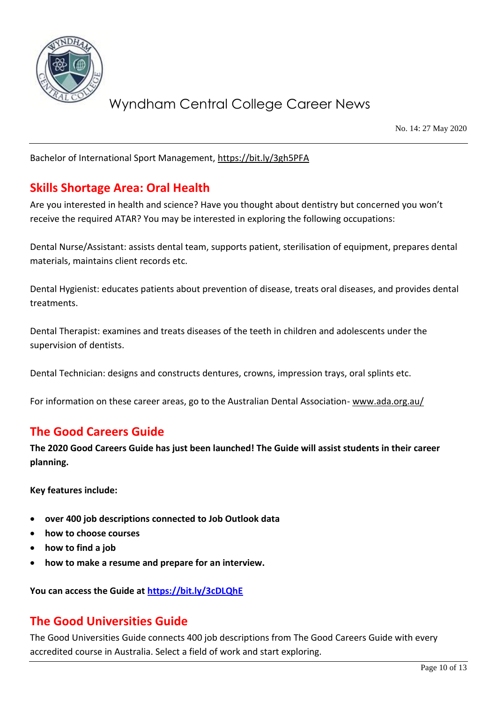

No. 14: 27 May 2020

Bachelor of International Sport Management,<https://bit.ly/3gh5PFA>

### **Skills Shortage Area: Oral Health**

Are you interested in health and science? Have you thought about dentistry but concerned you won't receive the required ATAR? You may be interested in exploring the following occupations:

Dental Nurse/Assistant: assists dental team, supports patient, sterilisation of equipment, prepares dental materials, maintains client records etc.

Dental Hygienist: educates patients about prevention of disease, treats oral diseases, and provides dental treatments.

Dental Therapist: examines and treats diseases of the teeth in children and adolescents under the supervision of dentists.

Dental Technician: designs and constructs dentures, crowns, impression trays, oral splints etc.

For information on these career areas, go to the Australian Dental Association- [www.ada.org.au/](http://www.ada.org.au/)

### **The Good Careers Guide**

**The 2020 Good Careers Guide has just been launched! The Guide will assist students in their career planning.**

**Key features include:**

- **over 400 job descriptions connected to Job Outlook data**
- **how to choose courses**
- **how to find a job**
- **how to make a resume and prepare for an interview.**

**You can access the Guide at<https://bit.ly/3cDLQhE>**

### **The Good Universities Guide**

The Good Universities Guide connects 400 job descriptions from The Good Careers Guide with every accredited course in Australia. Select a field of work and start exploring.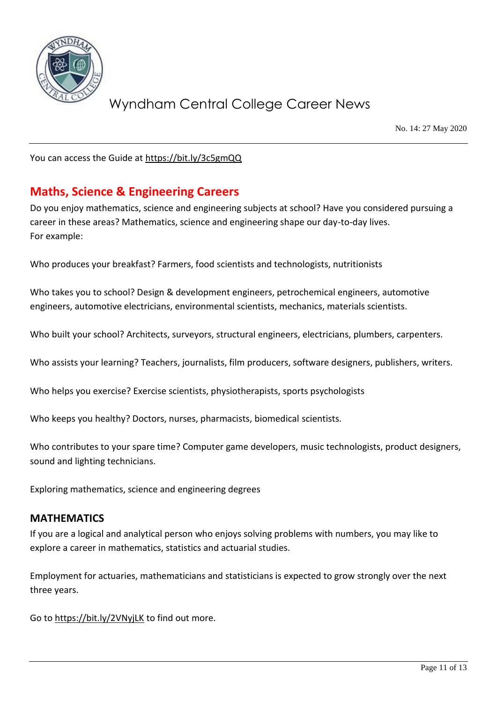

No. 14: 27 May 2020

You can access the Guide at<https://bit.ly/3c5gmQQ>

### **Maths, Science & Engineering Careers**

Do you enjoy mathematics, science and engineering subjects at school? Have you considered pursuing a career in these areas? Mathematics, science and engineering shape our day-to-day lives. For example:

Who produces your breakfast? Farmers, food scientists and technologists, nutritionists

Who takes you to school? Design & development engineers, petrochemical engineers, automotive engineers, automotive electricians, environmental scientists, mechanics, materials scientists.

Who built your school? Architects, surveyors, structural engineers, electricians, plumbers, carpenters.

Who assists your learning? Teachers, journalists, film producers, software designers, publishers, writers.

Who helps you exercise? Exercise scientists, physiotherapists, sports psychologists

Who keeps you healthy? Doctors, nurses, pharmacists, biomedical scientists.

Who contributes to your spare time? Computer game developers, music technologists, product designers, sound and lighting technicians.

Exploring mathematics, science and engineering degrees

#### **MATHEMATICS**

If you are a logical and analytical person who enjoys solving problems with numbers, you may like to explore a career in mathematics, statistics and actuarial studies.

Employment for actuaries, mathematicians and statisticians is expected to grow strongly over the next three years.

Go t[o https://bit.ly/2VNyjLK](https://bit.ly/2VNyjLK) to find out more.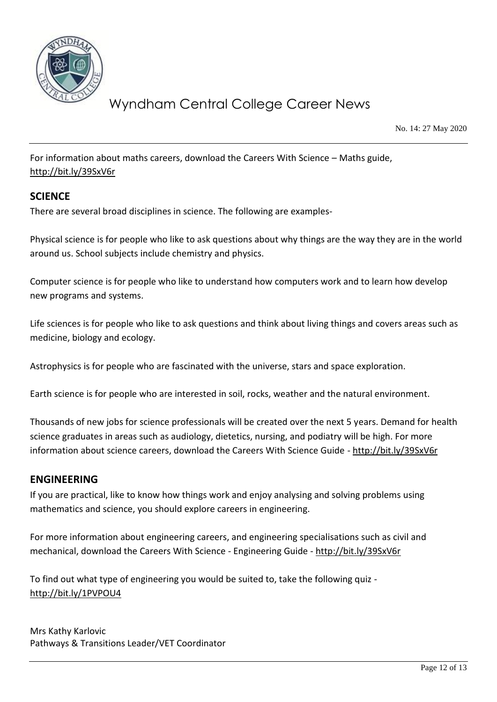

No. 14: 27 May 2020

For information about maths careers, download the Careers With Science – Maths guide, <http://bit.ly/39SxV6r>

#### **SCIENCE**

There are several broad disciplines in science. The following are examples-

Physical science is for people who like to ask questions about why things are the way they are in the world around us. School subjects include chemistry and physics.

Computer science is for people who like to understand how computers work and to learn how develop new programs and systems.

Life sciences is for people who like to ask questions and think about living things and covers areas such as medicine, biology and ecology.

Astrophysics is for people who are fascinated with the universe, stars and space exploration.

Earth science is for people who are interested in soil, rocks, weather and the natural environment.

Thousands of new jobs for science professionals will be created over the next 5 years. Demand for health science graduates in areas such as audiology, dietetics, nursing, and podiatry will be high. For more information about science careers, download the Careers With Science Guide - <http://bit.ly/39SxV6r>

#### **ENGINEERING**

If you are practical, like to know how things work and enjoy analysing and solving problems using mathematics and science, you should explore careers in engineering.

For more information about engineering careers, and engineering specialisations such as civil and mechanical, download the Careers With Science - Engineering Guide - <http://bit.ly/39SxV6r>

To find out what type of engineering you would be suited to, take the following quiz <http://bit.ly/1PVPOU4>

Mrs Kathy Karlovic Pathways & Transitions Leader/VET Coordinator